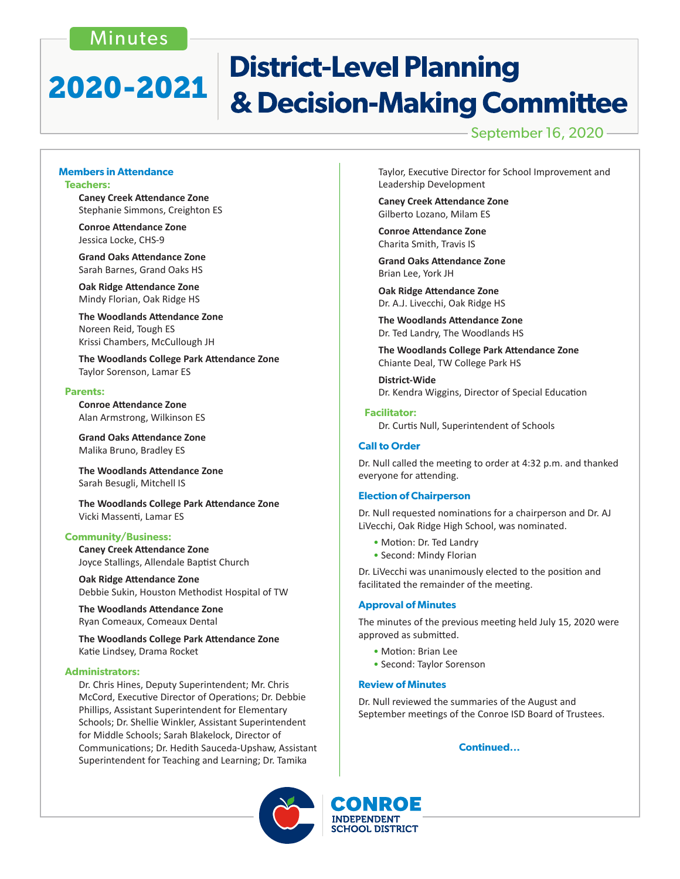### Minutes

## **District-Level Planning** 2020-2021 & Decision-Making Committee

### September 16, 2020

#### **Members in Attendance Teachers:**

 **Caney Creek Attendance Zone** Stephanie Simmons, Creighton ES

 **Conroe Attendance Zone** Jessica Locke, CHS-9

 **Grand Oaks Attendance Zone** Sarah Barnes, Grand Oaks HS

 **Oak Ridge Attendance Zone** Mindy Florian, Oak Ridge HS

 **The Woodlands Attendance Zone** Noreen Reid, Tough ES Krissi Chambers, McCullough JH

 **The Woodlands College Park Attendance Zone** Taylor Sorenson, Lamar ES

#### **Parents:**

 **Conroe Attendance Zone** Alan Armstrong, Wilkinson ES

**Grand Oaks Attendance Zone** Malika Bruno, Bradley ES

**The Woodlands Attendance Zone** Sarah Besugli, Mitchell IS

 **The Woodlands College Park Attendance Zone** Vicki Massenti, Lamar ES

#### **Community/Business:**

 **Caney Creek Attendance Zone** Joyce Stallings, Allendale Baptist Church

**Oak Ridge Attendance Zone** Debbie Sukin, Houston Methodist Hospital of TW

**The Woodlands Attendance Zone** Ryan Comeaux, Comeaux Dental

**The Woodlands College Park Attendance Zone** Katie Lindsey, Drama Rocket

#### **Administrators:**

Dr. Chris Hines, Deputy Superintendent; Mr. Chris McCord, Executive Director of Operations; Dr. Debbie Phillips, Assistant Superintendent for Elementary Schools; Dr. Shellie Winkler, Assistant Superintendent for Middle Schools; Sarah Blakelock, Director of Communications; Dr. Hedith Sauceda-Upshaw, Assistant Superintendent for Teaching and Learning; Dr. Tamika

Taylor, Executive Director for School Improvement and Leadership Development

 **Caney Creek Attendance Zone**  Gilberto Lozano, Milam ES

 **Conroe Attendance Zone**  Charita Smith, Travis IS

 **Grand Oaks Attendance Zone** Brian Lee, York JH

**Oak Ridge Attendance Zone**  Dr. A.J. Livecchi, Oak Ridge HS

 **The Woodlands Attendance Zone**  Dr. Ted Landry, The Woodlands HS

 **The Woodlands College Park Attendance Zone**  Chiante Deal, TW College Park HS

**District-Wide**  Dr. Kendra Wiggins, Director of Special Education

#### **Facilitator:**

 Dr. Curtis Null, Superintendent of Schools

#### **Call to Order**

Dr. Null called the meeting to order at 4:32 p.m. and thanked everyone for attending.

#### **Election of Chairperson**

Dr. Null requested nominations for a chairperson and Dr. AJ LiVecchi, Oak Ridge High School, was nominated.

- Motion: Dr. Ted Landry
- Second: Mindy Florian

Dr. LiVecchi was unanimously elected to the position and facilitated the remainder of the meeting.

#### **Approval of Minutes**

The minutes of the previous meeting held July 15, 2020 were approved as submitted.

- Motion: Brian Lee
- Second: Taylor Sorenson

#### **Review of Minutes**

Dr. Null reviewed the summaries of the August and September meetings of the Conroe ISD Board of Trustees.

#### **Continued...**



CONROE **INDEPENDENT SCHOOL DISTRICT**